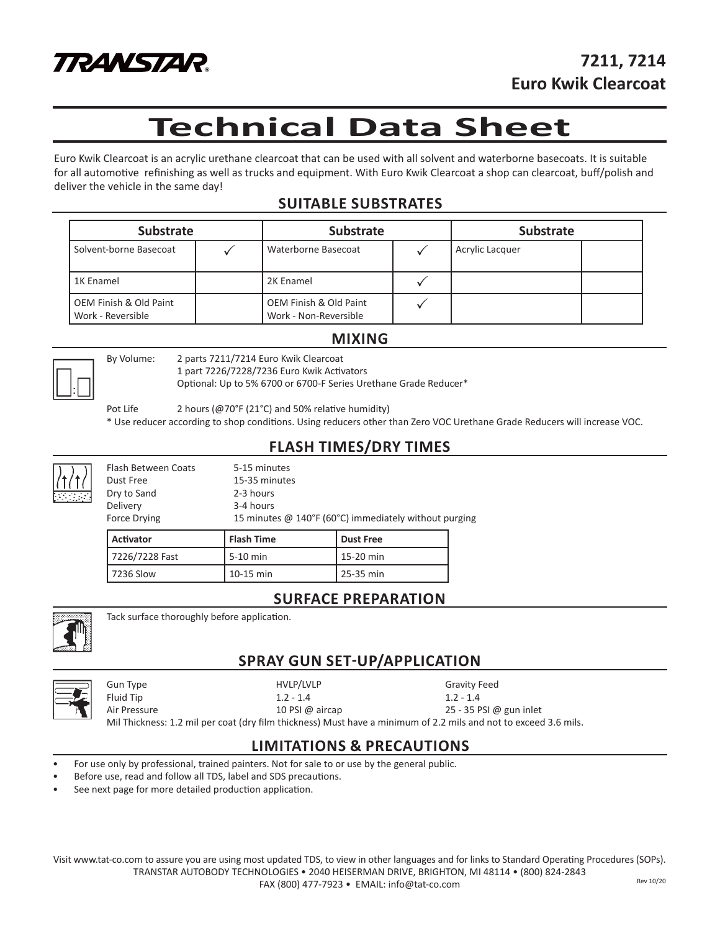

# **Technical Data Sheet**

Euro Kwik Clearcoat is an acrylic urethane clearcoat that can be used with all solvent and waterborne basecoats. It is suitable for all automotive refinishing as well as trucks and equipment. With Euro Kwik Clearcoat a shop can clearcoat, buff/polish and deliver the vehicle in the same day!

### **SUITABLE SUBSTRATES**

| <b>Substrate</b>                            |  | Substrate                                       |  | <b>Substrate</b> |  |
|---------------------------------------------|--|-------------------------------------------------|--|------------------|--|
| Solvent-borne Basecoat                      |  | Waterborne Basecoat                             |  | Acrylic Lacquer  |  |
| 1K Enamel                                   |  | 2K Enamel                                       |  |                  |  |
| OEM Finish & Old Paint<br>Work - Reversible |  | OEM Finish & Old Paint<br>Work - Non-Reversible |  |                  |  |

#### **MIXING**



By Volume: 2 parts 7211/7214 Euro Kwik Clearcoat

1 part 7226/7228/7236 Euro Kwik Activators Optional: Up to 5% 6700 or 6700-F Series Urethane Grade Reducer\*

Pot Life 2 hours (@70°F (21°C) and 50% relative humidity)

\* Use reducer according to shop conditions. Using reducers other than Zero VOC Urethane Grade Reducers will increase VOC.

### **FLASH TIMES/DRY TIMES**

|   | Force Drying        |               | 15 minutes @ 140°F (60°C) immediately without purging |  |
|---|---------------------|---------------|-------------------------------------------------------|--|
|   | Delivery            | 3-4 hours     |                                                       |  |
| ∃ | Dry to Sand         | 2-3 hours     |                                                       |  |
|   | Dust Free           | 15-35 minutes |                                                       |  |
|   | Flash Between Coats | 5-15 minutes  |                                                       |  |

| l Activator    | l Flash Time | l Dust Free |  |
|----------------|--------------|-------------|--|
| 7226/7228 Fast | l 5-10 min   | 15-20 min   |  |
| l 7236 Slow    | 10-15 min    | 25-35 min   |  |

### **SURFACE PREPARATION**



Tack surface thoroughly before application.

## **SPRAY GUN SET-UP/APPLICATION**



Gun Type **Gravity Feed** HVLP/LVLP **Gravity Feed** 

Fluid Tip 1.2 - 1.4 1.2 - 1.4

Air Pressure 25 - 35 PSI @ aircap 25 - 35 PSI @ gun inlet Mil Thickness: 1.2 mil per coat (dry film thickness) Must have a minimum of 2.2 mils and not to exceed 3.6 mils.

### **LIMITATIONS & PRECAUTIONS**

- For use only by professional, trained painters. Not for sale to or use by the general public.
- Before use, read and follow all TDS, label and SDS precautions.
- See next page for more detailed production application.

Visit www.tat-co.com to assure you are using most updated TDS, to view in other languages and for links to Standard Operating Procedures (SOPs). TRANSTAR AUTOBODY TECHNOLOGIES • 2040 HEISERMAN DRIVE, BRIGHTON, MI 48114 • (800) 824-2843